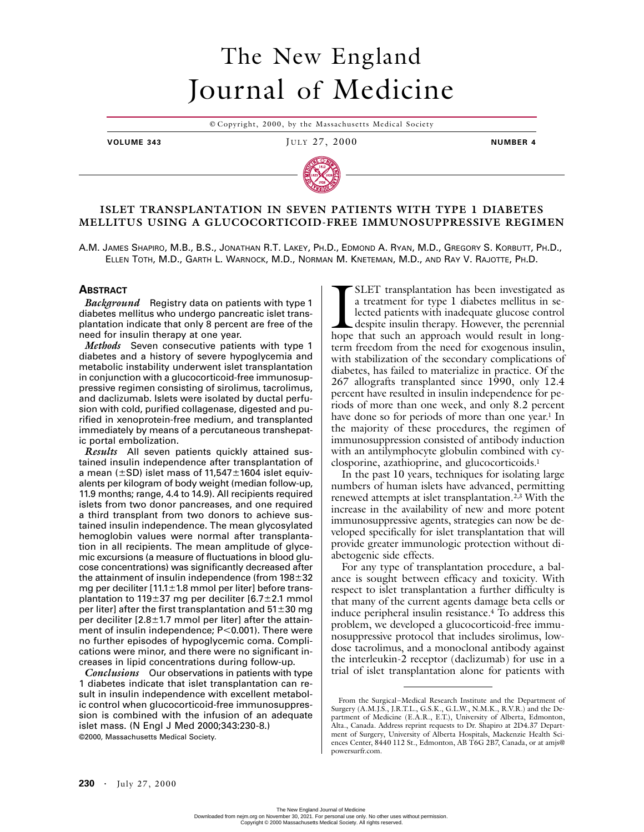# The New England Journal of Medicine

© Copyright, 2000, by the Massachusetts Medical Society

**VOLUME 343** JULY 27, 2000 **NUMBER 4**



# **ISLET TRANSPLANTATION IN SEVEN PATIENTS WITH TYPE 1 DIABETES MELLITUS USING A GLUCOCORTICOID-FREE IMMUNOSUPPRESSIVE REGIMEN**

A.M. JAMES SHAPIRO, M.B., B.S., JONATHAN R.T. LAKEY, PH.D., EDMOND A. RYAN, M.D., GREGORY S. KORBUTT, PH.D., ELLEN TOTH, M.D., GARTH L. WARNOCK, M.D., NORMAN M. KNETEMAN, M.D., AND RAY V. RAJOTTE, PH.D.

### **ABSTRACT**

*Background* Registry data on patients with type 1 diabetes mellitus who undergo pancreatic islet transplantation indicate that only 8 percent are free of the need for insulin therapy at one year.

*Methods* Seven consecutive patients with type 1 diabetes and a history of severe hypoglycemia and metabolic instability underwent islet transplantation in conjunction with a glucocorticoid-free immunosuppressive regimen consisting of sirolimus, tacrolimus, and daclizumab. Islets were isolated by ductal perfusion with cold, purified collagenase, digested and purified in xenoprotein-free medium, and transplanted immediately by means of a percutaneous transhepatic portal embolization.

*Results* All seven patients quickly attained sustained insulin independence after transplantation of a mean  $(\pm SD)$  islet mass of 11,547 $\pm$ 1604 islet equivalents per kilogram of body weight (median follow-up, 11.9 months; range, 4.4 to 14.9). All recipients required islets from two donor pancreases, and one required a third transplant from two donors to achieve sustained insulin independence. The mean glycosylated hemoglobin values were normal after transplantation in all recipients. The mean amplitude of glycemic excursions (a measure of fluctuations in blood glucose concentrations) was significantly decreased after the attainment of insulin independence (from 198±32 mg per deciliter [11.1±1.8 mmol per liter] before transplantation to 119 $\pm$ 37 mg per deciliter [6.7 $\pm$ 2.1 mmol per liter] after the first transplantation and  $51\pm30$  mg per deciliter  $[2.8 \pm 1.7 \text{ mmol}$  per liter] after the attainment of insulin independence; P<0.001). There were no further episodes of hypoglycemic coma. Complications were minor, and there were no significant increases in lipid concentrations during follow-up.

*Conclusions* Our observations in patients with type 1 diabetes indicate that islet transplantation can result in insulin independence with excellent metabolic control when glucocorticoid-free immunosuppression is combined with the infusion of an adequate islet mass. (N Engl J Med 2000;343:230-8.) ©2000, Massachusetts Medical Society.

SLET transplantation has been investigated as a treatment for type 1 diabetes mellitus in selected patients with inadequate glucose control despite insulin therapy. However, the perennial SLET transplantation has been investigated as<br>a treatment for type 1 diabetes mellitus in se-<br>lected patients with inadequate glucose control<br>despite insulin therapy. However, the perennial<br>hope that such an approach would term freedom from the need for exogenous insulin, with stabilization of the secondary complications of diabetes, has failed to materialize in practice. Of the 267 allografts transplanted since 1990, only 12.4 percent have resulted in insulin independence for periods of more than one week, and only 8.2 percent have done so for periods of more than one year.<sup>1</sup> In the majority of these procedures, the regimen of immunosuppression consisted of antibody induction with an antilymphocyte globulin combined with cyclosporine, azathioprine, and glucocorticoids.1

In the past 10 years, techniques for isolating large numbers of human islets have advanced, permitting renewed attempts at islet transplantation.2,3 With the increase in the availability of new and more potent immunosuppressive agents, strategies can now be developed specifically for islet transplantation that will provide greater immunologic protection without diabetogenic side effects.

For any type of transplantation procedure, a balance is sought between efficacy and toxicity. With respect to islet transplantation a further difficulty is that many of the current agents damage beta cells or induce peripheral insulin resistance.4 To address this problem, we developed a glucocorticoid-free immunosuppressive protocol that includes sirolimus, lowdose tacrolimus, and a monoclonal antibody against the interleukin-2 receptor (daclizumab) for use in a trial of islet transplantation alone for patients with

From the Surgical–Medical Research Institute and the Department of Surgery (A.M.J.S., J.R.T.L., G.S.K., G.L.W., N.M.K., R.V.R.) and the Department of Medicine (E.A.R., E.T.), University of Alberta, Edmonton, Alta., Canada. Address reprint requests to Dr. Shapiro at 2D4.37 Department of Surgery, University of Alberta Hospitals, Mackenzie Health Sciences Center, 8440 112 St., Edmonton, AB T6G 2B7, Canada, or at amjs@ powersurfr.com.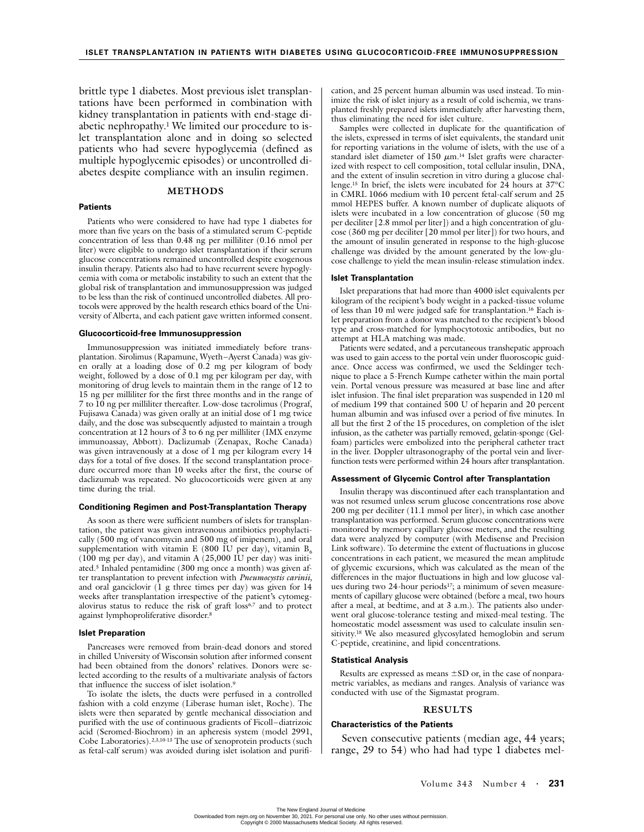brittle type 1 diabetes. Most previous islet transplantations have been performed in combination with kidney transplantation in patients with end-stage diabetic nephropathy.<sup>1</sup> We limited our procedure to islet transplantation alone and in doing so selected patients who had severe hypoglycemia (defined as multiple hypoglycemic episodes) or uncontrolled diabetes despite compliance with an insulin regimen.

## **METHODS**

#### **Patients**

Patients who were considered to have had type 1 diabetes for more than five years on the basis of a stimulated serum C-peptide concentration of less than 0.48 ng per milliliter (0.16 nmol per liter) were eligible to undergo islet transplantation if their serum glucose concentrations remained uncontrolled despite exogenous insulin therapy. Patients also had to have recurrent severe hypoglycemia with coma or metabolic instability to such an extent that the global risk of transplantation and immunosuppression was judged to be less than the risk of continued uncontrolled diabetes. All protocols were approved by the health research ethics board of the University of Alberta, and each patient gave written informed consent.

#### **Glucocorticoid-free Immunosuppression**

Immunosuppression was initiated immediately before transplantation. Sirolimus (Rapamune, Wyeth–Ayerst Canada) was given orally at a loading dose of 0.2 mg per kilogram of body weight, followed by a dose of 0.1 mg per kilogram per day, with monitoring of drug levels to maintain them in the range of 12 to 15 ng per milliliter for the first three months and in the range of 7 to 10 ng per milliliter thereafter. Low-dose tacrolimus (Prograf, Fujisawa Canada) was given orally at an initial dose of 1 mg twice daily, and the dose was subsequently adjusted to maintain a trough concentration at 12 hours of  $\hat{3}$  to 6 ng per milliliter (IMX enzyme immunoassay, Abbott). Daclizumab (Zenapax, Roche Canada) was given intravenously at a dose of 1 mg per kilogram every 14 days for a total of five doses. If the second transplantation procedure occurred more than 10 weeks after the first, the course of daclizumab was repeated. No glucocorticoids were given at any time during the trial.

#### **Conditioning Regimen and Post-Transplantation Therapy**

As soon as there were sufficient numbers of islets for transplantation, the patient was given intravenous antibiotics prophylactically (500 mg of vancomycin and 500 mg of imipenem), and oral supplementation with vitamin E (800 IU per day), vitamin  $B_6$  $(100 \text{ mg per day})$ , and vitamin A  $(25,000 \text{ IU per day})$  was initiated.5 Inhaled pentamidine (300 mg once a month) was given after transplantation to prevent infection with *Pneumocystis carinii,* and oral ganciclovir  $(1 \text{ g three times per day})$  was given for 14 weeks after transplantation irrespective of the patient's cytomegalovirus status to reduce the risk of graft loss<sup>6,7</sup> and to protect against lymphoproliferative disorder.8

#### **Islet Preparation**

Pancreases were removed from brain-dead donors and stored in chilled University of Wisconsin solution after informed consent had been obtained from the donors' relatives. Donors were selected according to the results of a multivariate analysis of factors that influence the success of islet isolation.9

To isolate the islets, the ducts were perfused in a controlled fashion with a cold enzyme (Liberase human islet, Roche). The islets were then separated by gentle mechanical dissociation and purified with the use of continuous gradients of Ficoll–diatrizoic acid (Seromed-Biochrom) in an apheresis system (model 2991, Cobe Laboratories).2,3,10-13 The use of xenoprotein products (such as fetal-calf serum) was avoided during islet isolation and purification, and 25 percent human albumin was used instead. To minimize the risk of islet injury as a result of cold ischemia, we transplanted freshly prepared islets immediately after harvesting them, thus eliminating the need for islet culture.

Samples were collected in duplicate for the quantification of the islets, expressed in terms of islet equivalents, the standard unit for reporting variations in the volume of islets, with the use of a standard islet diameter of 150  $\mu$ m.<sup>14</sup> Islet grafts were characterized with respect to cell composition, total cellular insulin, DNA, and the extent of insulin secretion in vitro during a glucose challenge.15 In brief, the islets were incubated for 24 hours at 37°C in CMRL 1066 medium with 10 percent fetal-calf serum and 25 mmol HEPES buffer. A known number of duplicate aliquots of islets were incubated in a low concentration of glucose (50 mg per deciliter [2.8 mmol per liter]) and a high concentration of glucose (360 mg per deciliter [20 mmol per liter]) for two hours, and the amount of insulin generated in response to the high-glucose challenge was divided by the amount generated by the low-glucose challenge to yield the mean insulin-release stimulation index.

#### **Islet Transplantation**

Islet preparations that had more than 4000 islet equivalents per kilogram of the recipient's body weight in a packed-tissue volume of less than 10 ml were judged safe for transplantation.16 Each islet preparation from a donor was matched to the recipient's blood type and cross-matched for lymphocytotoxic antibodies, but no attempt at HLA matching was made.

Patients were sedated, and a percutaneous transhepatic approach was used to gain access to the portal vein under fluoroscopic guidance. Once access was confirmed, we used the Seldinger technique to place a 5-French Kumpe catheter within the main portal vein. Portal venous pressure was measured at base line and after islet infusion. The final islet preparation was suspended in 120 ml of medium 199 that contained 500 U of heparin and 20 percent human albumin and was infused over a period of five minutes. In all but the first 2 of the 15 procedures, on completion of the islet infusion, as the catheter was partially removed, gelatin-sponge (Gelfoam) particles were embolized into the peripheral catheter tract in the liver. Doppler ultrasonography of the portal vein and liverfunction tests were performed within 24 hours after transplantation.

#### **Assessment of Glycemic Control after Transplantation**

Insulin therapy was discontinued after each transplantation and was not resumed unless serum glucose concentrations rose above 200 mg per deciliter (11.1 mmol per liter), in which case another transplantation was performed. Serum glucose concentrations were monitored by memory capillary glucose meters, and the resulting data were analyzed by computer (with Medisense and Precision Link software). To determine the extent of fluctuations in glucose concentrations in each patient, we measured the mean amplitude of glycemic excursions, which was calculated as the mean of the differences in the major fluctuations in high and low glucose values during two 24-hour periods<sup>17</sup>; a minimum of seven measurements of capillary glucose were obtained (before a meal, two hours after a meal, at bedtime, and at 3 a.m.). The patients also underwent oral glucose-tolerance testing and mixed-meal testing. The homeostatic model assessment was used to calculate insulin sensitivity.18 We also measured glycosylated hemoglobin and serum C-peptide, creatinine, and lipid concentrations.

#### **Statistical Analysis**

Results are expressed as means  $\pm$ SD or, in the case of nonparametric variables, as medians and ranges. Analysis of variance was conducted with use of the Sigmastat program.

# **RESULTS**

#### **Characteristics of the Patients**

Seven consecutive patients (median age, 44 years; range, 29 to 54) who had had type 1 diabetes mel-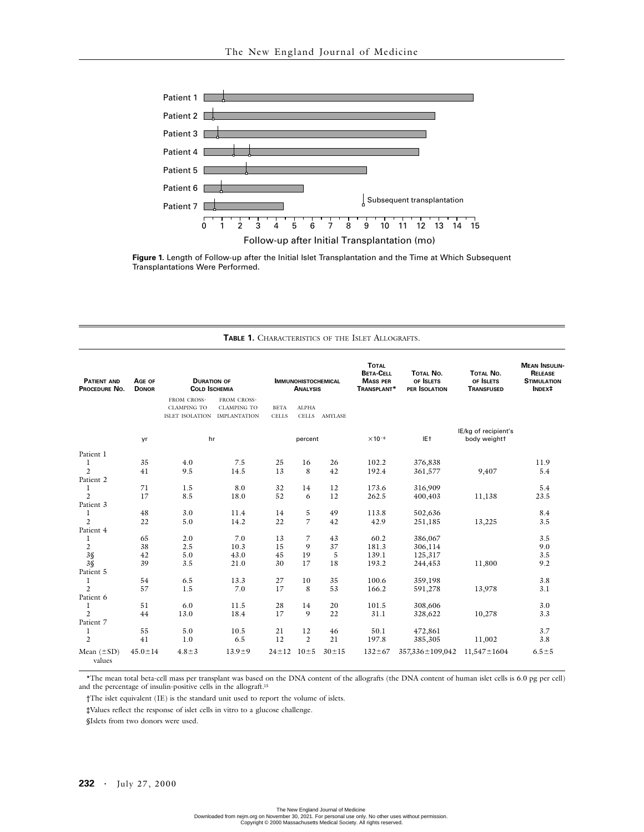

**Figure 1.** Length of Follow-up after the Initial Islet Transplantation and the Time at Which Subsequent Transplantations Were Performed.

#### **TABLE 1.** CHARACTERISTICS OF THE ISLET ALLOGRAFTS.

| <b>PATIENT AND</b><br>PROCEDURE NO. | AGE OF<br><b>DONOR</b> | <b>DURATION OF</b><br><b>COLD ISCHEMIA</b>                  |                                                          |                             | <b>IMMUNOHISTOCHEMICAL</b><br><b>ANALYSIS</b> |           | <b>TOTAL</b><br><b>BETA-CELL</b><br><b>MASS PER</b><br>TRANSPLANT* | <b>TOTAL NO.</b><br>OF ISLETS<br>PER ISOLATION | <b>TOTAL NO.</b><br>OF ISLETS<br><b>TRANSFUSED</b> | <b>MEAN INSULIN-</b><br><b>RELEASE</b><br><b>STIMULATION</b><br>INDEX <sup>‡</sup> |
|-------------------------------------|------------------------|-------------------------------------------------------------|----------------------------------------------------------|-----------------------------|-----------------------------------------------|-----------|--------------------------------------------------------------------|------------------------------------------------|----------------------------------------------------|------------------------------------------------------------------------------------|
|                                     |                        | FROM CROSS-<br><b>CLAMPING TO</b><br><b>ISLET ISOLATION</b> | FROM CROSS-<br><b>CLAMPING TO</b><br><b>IMPLANTATION</b> | <b>BETA</b><br><b>CELLS</b> | <b>ALPHA</b><br><b>CELLS</b>                  | AMYLASE   |                                                                    |                                                |                                                    |                                                                                    |
|                                     | yr                     | hr                                                          |                                                          |                             | percent                                       |           | $\times$ 10 <sup>-6</sup>                                          | IE <sub>t</sub>                                | IE/kg of recipient's<br>body weightt               |                                                                                    |
| Patient 1                           |                        |                                                             |                                                          |                             |                                               |           |                                                                    |                                                |                                                    |                                                                                    |
| 1                                   | 35                     | 4.0                                                         | 7.5                                                      | 25                          | 16                                            | 26        | 102.2                                                              | 376,838                                        |                                                    | 11.9                                                                               |
| $\overline{2}$                      | 41                     | 9.5                                                         | 14.5                                                     | 13                          | 8                                             | 42        | 192.4                                                              | 361,577                                        | 9,407                                              | 5.4                                                                                |
| Patient 2                           |                        |                                                             |                                                          |                             |                                               |           |                                                                    |                                                |                                                    |                                                                                    |
| 1                                   | 71                     | 1.5                                                         | 8.0                                                      | 32                          | 14                                            | 12        | 173.6                                                              | 316,909                                        |                                                    | 5.4                                                                                |
| $\overline{2}$                      | 17                     | 8.5                                                         | 18.0                                                     | 52                          | 6                                             | 12        | 262.5                                                              | 400,403                                        | 11,138                                             | 23.5                                                                               |
| Patient 3                           |                        |                                                             |                                                          |                             |                                               |           |                                                                    |                                                |                                                    |                                                                                    |
| 1                                   | 48                     | 3.0                                                         | 11.4                                                     | 14                          | 5                                             | 49        | 113.8                                                              | 502,636                                        |                                                    | 8.4                                                                                |
| $\overline{c}$                      | 22                     | 5.0                                                         | 14.2                                                     | 22                          | $\overline{7}$                                | 42        | 42.9                                                               | 251,185                                        | 13,225                                             | 3.5                                                                                |
| Patient 4                           |                        |                                                             |                                                          |                             |                                               |           |                                                                    |                                                |                                                    |                                                                                    |
| 1                                   | 65                     | 2.0                                                         | 7.0                                                      | 13                          | 7                                             | 43        | 60.2                                                               | 386,067                                        |                                                    | 3.5                                                                                |
| $\boldsymbol{2}$                    | 38                     | 2.5                                                         | 10.3                                                     | 15                          | 9                                             | 37        | 181.3                                                              | 306,114                                        |                                                    | 9.0                                                                                |
|                                     | 42                     | 5.0                                                         | 43.0                                                     | 45                          | 19                                            | 5         | 139.1                                                              | 125,317                                        |                                                    | 3.5                                                                                |
| $\frac{35}{35}$                     | 39                     | 3.5                                                         | 21.0                                                     | 30                          | 17                                            | 18        | 193.2                                                              | 244,453                                        | 11,800                                             | 9.2                                                                                |
| Patient 5                           |                        |                                                             |                                                          |                             |                                               |           |                                                                    |                                                |                                                    |                                                                                    |
| 1                                   | 54                     | 6.5                                                         | 13.3                                                     | 27                          | 10                                            | 35        | 100.6                                                              | 359,198                                        |                                                    | 3.8                                                                                |
| $\overline{2}$                      | 57                     | 1.5                                                         | 7.0                                                      | 17                          | 8                                             | 53        | 166.2                                                              | 591,278                                        | 13,978                                             | 3.1                                                                                |
| Patient 6                           |                        |                                                             |                                                          |                             |                                               |           |                                                                    |                                                |                                                    |                                                                                    |
| 1                                   | 51                     | 6.0                                                         | 11.5                                                     | 28                          | 14                                            | 20        | 101.5                                                              | 308,606                                        |                                                    | 3.0                                                                                |
| $\overline{c}$                      | 44                     | 13.0                                                        | 18.4                                                     | 17                          | 9                                             | 22        | 31.1                                                               | 328,622                                        | 10,278                                             | 3.3                                                                                |
| Patient 7                           |                        |                                                             |                                                          |                             |                                               |           |                                                                    |                                                |                                                    |                                                                                    |
|                                     | 55                     | 5.0                                                         | 10.5                                                     | 21                          | 12                                            | 46        | 50.1                                                               | 472,861                                        |                                                    | 3.7                                                                                |
| 1<br>$\overline{2}$                 | 41                     | 1.0                                                         | 6.5                                                      | 12                          | $\overline{2}$                                | 21        | 197.8                                                              | 385,305                                        | 11,002                                             | 3.8                                                                                |
|                                     |                        |                                                             |                                                          |                             |                                               |           |                                                                    |                                                |                                                    |                                                                                    |
| Mean $(\pm SD)$<br>values           | $45.0 \pm 14$          | $4.8 + 3$                                                   | $13.9 + 9$                                               | $24 + 12$                   | 10:5                                          | $30 + 15$ | $132 \pm 67$                                                       | 357,336±109,042                                | $11,547 \pm 1604$                                  | $6.5 \pm 5$                                                                        |

\*The mean total beta-cell mass per transplant was based on the DNA content of the allografts (the DNA content of human islet cells is 6.0 pg per cell) and the percentage of insulin-positive cells in the allograft.15

†The islet equivalent (IE) is the standard unit used to report the volume of islets.

‡Values reflect the response of islet cells in vitro to a glucose challenge.

§Islets from two donors were used.

The New England Journal of Medicine<br>Downloaded from nejm.org on November 30, 2021. For personal use only. No other uses without permission.<br>Соругідht © 2000 Massachusetts Medical Society. All rights reserved.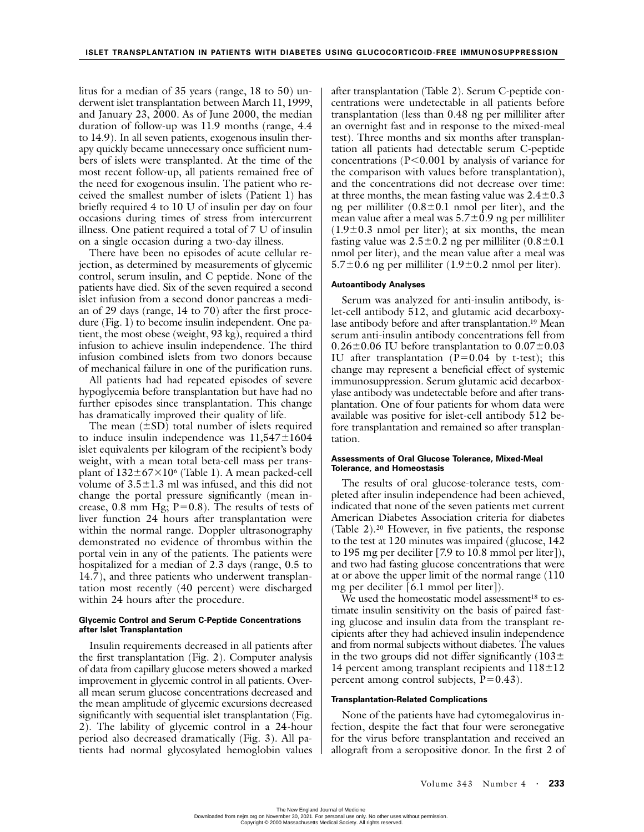litus for a median of 35 years (range, 18 to 50) underwent islet transplantation between March 11, 1999, and January 23, 2000. As of June 2000, the median duration of follow-up was 11.9 months (range, 4.4 to 14.9). In all seven patients, exogenous insulin therapy quickly became unnecessary once sufficient numbers of islets were transplanted. At the time of the most recent follow-up, all patients remained free of the need for exogenous insulin. The patient who received the smallest number of islets (Patient 1) has briefly required 4 to 10 U of insulin per day on four occasions during times of stress from intercurrent illness. One patient required a total of 7 U of insulin on a single occasion during a two-day illness.

There have been no episodes of acute cellular rejection, as determined by measurements of glycemic control, serum insulin, and C peptide. None of the patients have died. Six of the seven required a second islet infusion from a second donor pancreas a median of 29 days (range, 14 to 70) after the first procedure (Fig. 1) to become insulin independent. One patient, the most obese (weight, 93 kg), required a third infusion to achieve insulin independence. The third infusion combined islets from two donors because of mechanical failure in one of the purification runs.

All patients had had repeated episodes of severe hypoglycemia before transplantation but have had no further episodes since transplantation. This change has dramatically improved their quality of life.

The mean  $(\pm SD)$  total number of islets required to induce insulin independence was  $11,547 \pm 1604$ islet equivalents per kilogram of the recipient's body weight, with a mean total beta-cell mass per transplant of  $132\pm67\times10^6$  (Table 1). A mean packed-cell volume of  $3.5 \pm 1.3$  ml was infused, and this did not change the portal pressure significantly (mean increase,  $0.8$  mm Hg;  $P=0.8$ ). The results of tests of liver function 24 hours after transplantation were within the normal range. Doppler ultrasonography demonstrated no evidence of thrombus within the portal vein in any of the patients. The patients were hospitalized for a median of 2.3 days (range, 0.5 to 14.7), and three patients who underwent transplantation most recently (40 percent) were discharged within 24 hours after the procedure.

#### **Glycemic Control and Serum C-Peptide Concentrations after Islet Transplantation**

Insulin requirements decreased in all patients after the first transplantation (Fig. 2). Computer analysis of data from capillary glucose meters showed a marked improvement in glycemic control in all patients. Overall mean serum glucose concentrations decreased and the mean amplitude of glycemic excursions decreased significantly with sequential islet transplantation (Fig. 2). The lability of glycemic control in a 24-hour period also decreased dramatically (Fig. 3). All patients had normal glycosylated hemoglobin values after transplantation (Table 2). Serum C-peptide concentrations were undetectable in all patients before transplantation (less than 0.48 ng per milliliter after an overnight fast and in response to the mixed-meal test). Three months and six months after transplantation all patients had detectable serum C-peptide concentrations (P<0.001 by analysis of variance for the comparison with values before transplantation), and the concentrations did not decrease over time: at three months, the mean fasting value was  $2.4 \pm 0.3$ ng per milliliter  $(0.8 \pm 0.1 \text{ mmol per liter})$ , and the mean value after a meal was  $5.7\pm0.9$  ng per milliliter  $(1.9\pm0.3$  nmol per liter); at six months, the mean fasting value was  $2.5 \pm 0.2$  ng per milliliter  $(0.8 \pm 0.1)$ nmol per liter), and the mean value after a meal was  $5.7\pm0.6$  ng per milliliter (1.9 $\pm0.2$  nmol per liter).

#### **Autoantibody Analyses**

Serum was analyzed for anti-insulin antibody, islet-cell antibody 512, and glutamic acid decarboxylase antibody before and after transplantation.19 Mean serum anti-insulin antibody concentrations fell from  $0.26 \pm 0.06$  IU before transplantation to  $0.07 \pm 0.03$ IU after transplantation ( $\bar{P}$ =0.04 by t-test); this change may represent a beneficial effect of systemic immunosuppression. Serum glutamic acid decarboxylase antibody was undetectable before and after transplantation. One of four patients for whom data were available was positive for islet-cell antibody 512 before transplantation and remained so after transplantation.

#### **Assessments of Oral Glucose Tolerance, Mixed-Meal Tolerance, and Homeostasis**

The results of oral glucose-tolerance tests, completed after insulin independence had been achieved, indicated that none of the seven patients met current American Diabetes Association criteria for diabetes (Table 2).20 However, in five patients, the response to the test at 120 minutes was impaired (glucose, 142 to 195 mg per deciliter [7.9 to 10.8 mmol per liter]), and two had fasting glucose concentrations that were at or above the upper limit of the normal range (110 mg per deciliter [6.1 mmol per liter]).

We used the homeostatic model assessment<sup>18</sup> to estimate insulin sensitivity on the basis of paired fasting glucose and insulin data from the transplant recipients after they had achieved insulin independence and from normal subjects without diabetes. The values in the two groups did not differ significantly ( $103\pm$ 14 percent among transplant recipients and  $118\pm12$ percent among control subjects,  $P=0.43$ ).

#### **Transplantation-Related Complications**

None of the patients have had cytomegalovirus infection, despite the fact that four were seronegative for the virus before transplantation and received an allograft from a seropositive donor. In the first 2 of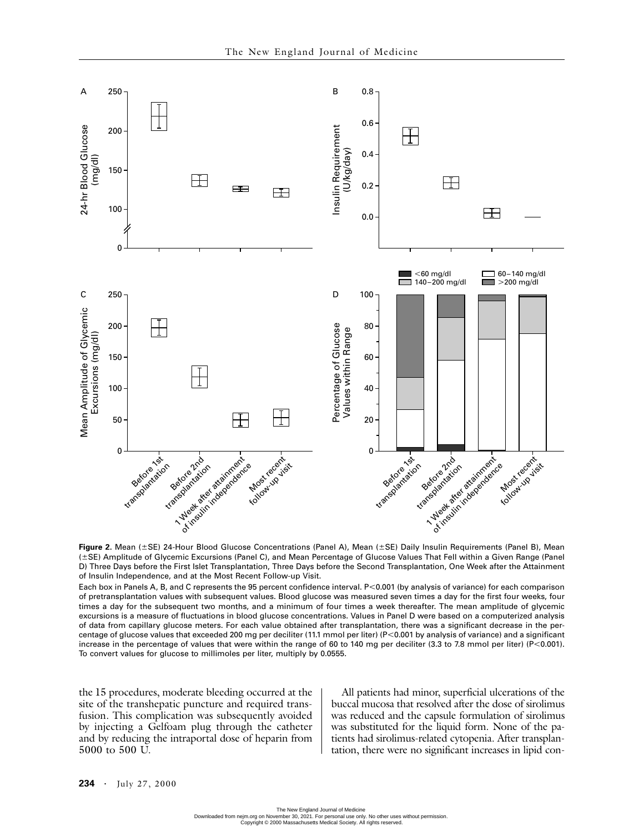

**Figure 2.** Mean (±SE) 24-Hour Blood Glucose Concentrations (Panel A), Mean (±SE) Daily Insulin Requirements (Panel B), Mean (±SE) Amplitude of Glycemic Excursions (Panel C), and Mean Percentage of Glucose Values That Fell within a Given Range (Panel D) Three Days before the First Islet Transplantation, Three Days before the Second Transplantation, One Week after the Attainment of Insulin Independence, and at the Most Recent Follow-up Visit.

Each box in Panels A, B, and C represents the 95 percent confidence interval. P<0.001 (by analysis of variance) for each comparison of pretransplantation values with subsequent values. Blood glucose was measured seven times a day for the first four weeks, four times a day for the subsequent two months, and a minimum of four times a week thereafter. The mean amplitude of glycemic excursions is a measure of fluctuations in blood glucose concentrations. Values in Panel D were based on a computerized analysis of data from capillary glucose meters. For each value obtained after transplantation, there was a significant decrease in the percentage of glucose values that exceeded 200 mg per deciliter (11.1 mmol per liter) (P<0.001 by analysis of variance) and a significant increase in the percentage of values that were within the range of 60 to 140 mg per deciliter (3.3 to 7.8 mmol per liter) (P<0.001). To convert values for glucose to millimoles per liter, multiply by 0.0555.

the 15 procedures, moderate bleeding occurred at the site of the transhepatic puncture and required transfusion. This complication was subsequently avoided by injecting a Gelfoam plug through the catheter and by reducing the intraportal dose of heparin from 5000 to 500 U.

All patients had minor, superficial ulcerations of the buccal mucosa that resolved after the dose of sirolimus was reduced and the capsule formulation of sirolimus was substituted for the liquid form. None of the patients had sirolimus-related cytopenia. After transplantation, there were no significant increases in lipid con-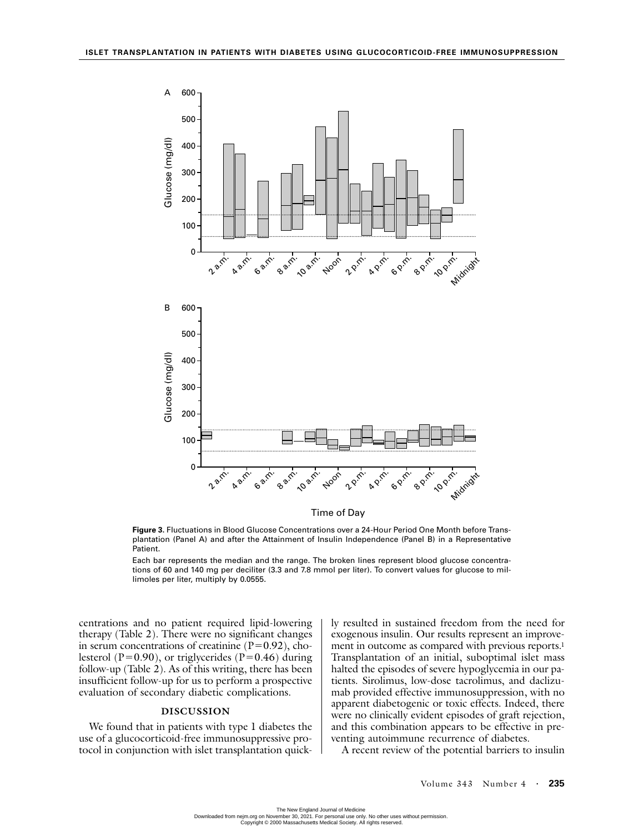

Time of Day

**Figure 3.** Fluctuations in Blood Glucose Concentrations over a 24-Hour Period One Month before Transplantation (Panel A) and after the Attainment of Insulin Independence (Panel B) in a Representative Patient.

Each bar represents the median and the range. The broken lines represent blood glucose concentrations of 60 and 140 mg per deciliter (3.3 and 7.8 mmol per liter). To convert values for glucose to millimoles per liter, multiply by 0.0555.

centrations and no patient required lipid-lowering therapy (Table 2). There were no significant changes in serum concentrations of creatinine  $(P=0.92)$ , cholesterol (P=0.90), or triglycerides (P=0.46) during follow-up (Table 2). As of this writing, there has been insufficient follow-up for us to perform a prospective evaluation of secondary diabetic complications.

#### **DISCUSSION**

We found that in patients with type 1 diabetes the use of a glucocorticoid-free immunosuppressive protocol in conjunction with islet transplantation quickly resulted in sustained freedom from the need for exogenous insulin. Our results represent an improvement in outcome as compared with previous reports.<sup>1</sup> Transplantation of an initial, suboptimal islet mass halted the episodes of severe hypoglycemia in our patients. Sirolimus, low-dose tacrolimus, and daclizumab provided effective immunosuppression, with no apparent diabetogenic or toxic effects. Indeed, there were no clinically evident episodes of graft rejection, and this combination appears to be effective in preventing autoimmune recurrence of diabetes.

A recent review of the potential barriers to insulin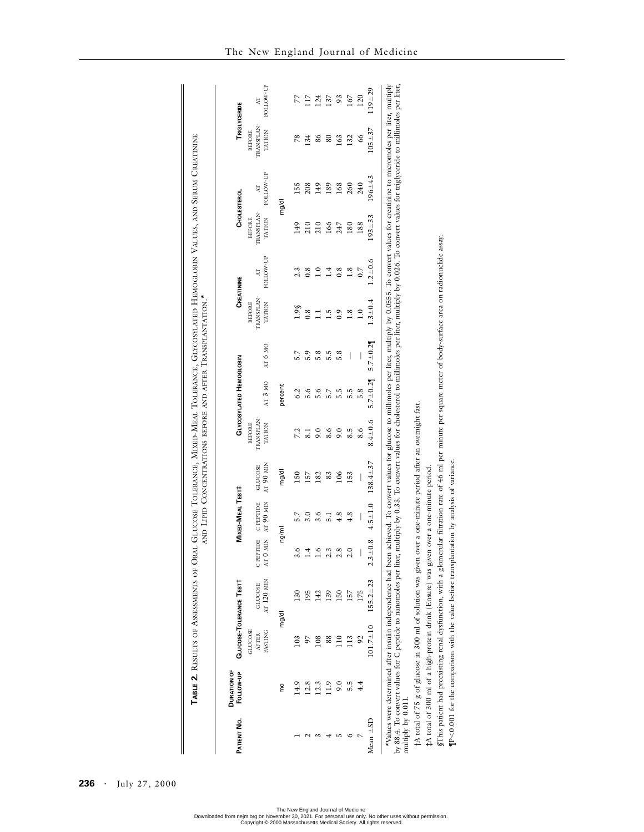|                    |                                                                                                                                                                     |                                           | TABLE 2. RESULTS OF ASSESSMENTS OF ORAL GLUCOSE TOLERANCE, MIXED-MEAL TOLERANCE, GLYCOSYLATED HEMOGLOBIN VALUES, AND SERUM CREATININE |                       |                        | AND LIPID CONCENTRATIONS BEFORE AND AFTER TRANSPLANTATION.* |                                |                                |               |                                       |                  |                                |                                                                                                                                                                                                                                                                                                                        |                                       |                |
|--------------------|---------------------------------------------------------------------------------------------------------------------------------------------------------------------|-------------------------------------------|---------------------------------------------------------------------------------------------------------------------------------------|-----------------------|------------------------|-------------------------------------------------------------|--------------------------------|--------------------------------|---------------|---------------------------------------|------------------|--------------------------------|------------------------------------------------------------------------------------------------------------------------------------------------------------------------------------------------------------------------------------------------------------------------------------------------------------------------|---------------------------------------|----------------|
| PATIENT NO.        | <b>DURATION OF</b><br>Follow-up                                                                                                                                     |                                           | GLUCOSE-TOLERANCE TESTT                                                                                                               |                       | MIXED-MEAL TEST#       |                                                             |                                | <b>GLYCOSYLATED HEMOGLOBIN</b> |               |                                       | CREATININE       | <b>CHOLESTEROL</b>             |                                                                                                                                                                                                                                                                                                                        | TRIGLYCERIDE                          |                |
|                    |                                                                                                                                                                     | GLUCOSE<br><b>FASTING</b><br><b>AFTER</b> | AT 120 MIN<br>GLUCOSE                                                                                                                 | C PEPTIDE<br>AT 0 MIN | AT 90 MIN<br>C PEPTIDE | <b>XIDO</b> 90 MIN<br>GLUCOSE                               | TRANSPLAN-<br>BEFORE<br>TATION | AT 3 MO                        | АТ 6 МО       | TRANSPLAN-<br><b>BEFORE</b><br>TATION | FOLLOW-UP<br>Ę   | TRANSPLAN-<br>BEFORE<br>TATION | FOLLOW-UP<br>K                                                                                                                                                                                                                                                                                                         | TRANSPLAN-<br><b>BEFORE</b><br>TATION | FOLLOW-UP<br>K |
|                    | g                                                                                                                                                                   |                                           | mg/dl                                                                                                                                 | ng/ml                 |                        | mg/dl                                                       |                                | percent                        |               |                                       |                  |                                | mg/dl                                                                                                                                                                                                                                                                                                                  |                                       |                |
|                    | 14.9                                                                                                                                                                | 103                                       | 130                                                                                                                                   | 3.6                   | 5.7                    | 150                                                         | 7.2                            | 6.2                            | 5.7           | 1.9\$                                 | $2.\overline{3}$ | 149                            | 155                                                                                                                                                                                                                                                                                                                    | 78                                    |                |
|                    | 12.8                                                                                                                                                                | 97                                        | 195                                                                                                                                   |                       | 3.0                    | 157                                                         | $\overline{\phantom{0}}$       | 6.6                            | 5.9           | $\ddot{0}$ .8                         | 0.8              | 210                            | 208                                                                                                                                                                                                                                                                                                                    | 134                                   | 117            |
|                    | 12.3                                                                                                                                                                | 108                                       | 142                                                                                                                                   |                       | 3.6                    | 182                                                         | 9.0                            | 5.6                            | 5.8           | $\Xi$                                 | $\overline{1.0}$ | 210                            | 149                                                                                                                                                                                                                                                                                                                    | 86                                    | 124            |
|                    | 11.9                                                                                                                                                                | 88                                        | 139                                                                                                                                   | 2.3                   | $\overline{5}$ .       | 83                                                          | 8.6                            | ŗ                              | 5.5           | $\frac{5}{1}$                         | 1.4              | 166                            | 189                                                                                                                                                                                                                                                                                                                    | $\rm 80$                              | 137            |
|                    | 9.0                                                                                                                                                                 | $\frac{1}{2}$                             | 150                                                                                                                                   | 2.8                   | 4.8                    | 106                                                         | 9.0                            | ŗ.                             | 5.8           | $_{0.9}$                              | 0.8              | 247                            | 168                                                                                                                                                                                                                                                                                                                    | 163                                   | 93             |
|                    | 5.5                                                                                                                                                                 | 113                                       | 157                                                                                                                                   | 2.0                   | 4.8                    | 153                                                         | 8.5                            | 5.5                            |               | $\overline{1.8}$                      | 1.8              | 180                            | 260                                                                                                                                                                                                                                                                                                                    | 132                                   | 167            |
|                    | 4.4                                                                                                                                                                 | 92                                        | 175                                                                                                                                   |                       |                        |                                                             | 8.6                            |                                |               |                                       | 0.7              | 188                            | 240                                                                                                                                                                                                                                                                                                                    | 8                                     | 120            |
| Mean ±SD           |                                                                                                                                                                     | $101.7 \pm 10$                            | $155.2 \pm 23$                                                                                                                        | 0.8<br>$2.3 +$        | $4.5 \pm 1.0$          | $138.4 + 37$                                                | $8.4 = 0.6$                    | $5.7 \pm 0.2$                  | $5.7 \pm 0.2$ | $1.3 + 0.4$                           | $1.2 + 0.6$      | $193 + 33$                     | $196 + 43$                                                                                                                                                                                                                                                                                                             | $105 + 37$                            | $119 + 29$     |
| multiply by 0.011. | *Values were determined after insulin independence had been<br>by 88.4. To convert values for C peptide to nanomoles per liter,                                     |                                           |                                                                                                                                       |                       |                        |                                                             |                                |                                |               |                                       |                  |                                | achieved. To convert values for glucose to millimoles per liter, multiply by 0.0555. To convert values for creatinine to micromoles per liter, multiply<br>multiply by 0.33. To convert values for cholesterol to millimoles per liter, multiply by 0.026. To convert values for triglyceride to millimoles per liter, |                                       |                |
|                    | <sup>+</sup> A total of 75 g of glucose in 300 ml of solution was given over a one-minute period after an overnight fast.                                           |                                           |                                                                                                                                       |                       |                        |                                                             |                                |                                |               |                                       |                  |                                |                                                                                                                                                                                                                                                                                                                        |                                       |                |
|                    | ‡A total of 300 ml of a high-protein drink (Ensure) was given over a one-minute period.                                                                             |                                           |                                                                                                                                       |                       |                        |                                                             |                                |                                |               |                                       |                  |                                |                                                                                                                                                                                                                                                                                                                        |                                       |                |
|                    | §This patient had preexisting renal dysfunction, with a glomerular filtration rate of 46 ml per minute per square meter of body-surface area on radionuclide assay. |                                           |                                                                                                                                       |                       |                        |                                                             |                                |                                |               |                                       |                  |                                |                                                                                                                                                                                                                                                                                                                        |                                       |                |
|                    | T><0.001 for the comparison with the value before transplantation by analysis of variance.                                                                          |                                           |                                                                                                                                       |                       |                        |                                                             |                                |                                |               |                                       |                  |                                |                                                                                                                                                                                                                                                                                                                        |                                       |                |

**236 ·** July 27, 2000

The New England Journal of Medicine<br>Downloaded from nejm.org on November 30, 2021. For personal use only. No other uses without permission.<br>Соругідht © 2000 Massachusetts Medical Society. All rights reserved.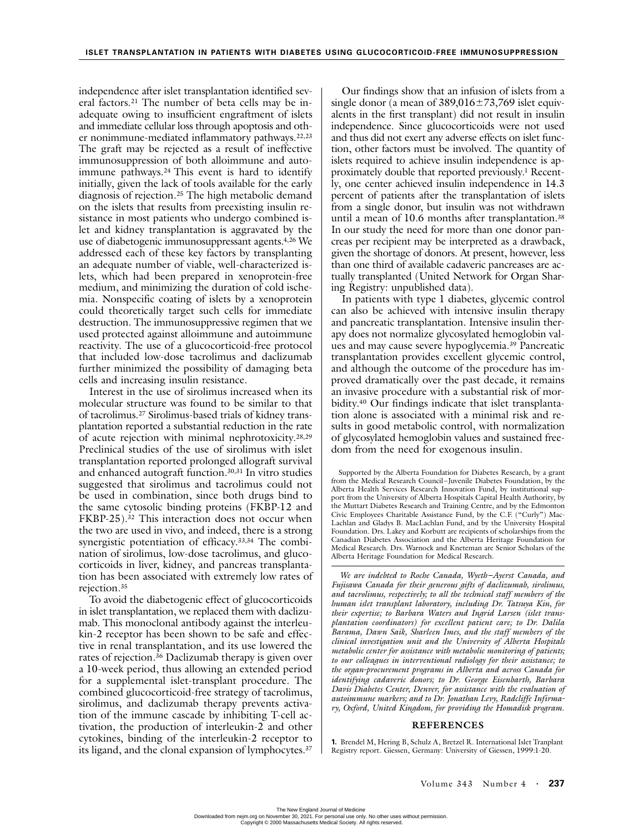independence after islet transplantation identified several factors.21 The number of beta cells may be inadequate owing to insufficient engraftment of islets and immediate cellular loss through apoptosis and other nonimmune-mediated inflammatory pathways.22,23 The graft may be rejected as a result of ineffective immunosuppression of both alloimmune and autoimmune pathways.<sup>24</sup> This event is hard to identify initially, given the lack of tools available for the early diagnosis of rejection.25 The high metabolic demand on the islets that results from preexisting insulin resistance in most patients who undergo combined islet and kidney transplantation is aggravated by the use of diabetogenic immunosuppressant agents.4,26 We addressed each of these key factors by transplanting an adequate number of viable, well-characterized islets, which had been prepared in xenoprotein-free medium, and minimizing the duration of cold ischemia. Nonspecific coating of islets by a xenoprotein could theoretically target such cells for immediate destruction. The immunosuppressive regimen that we used protected against alloimmune and autoimmune reactivity. The use of a glucocorticoid-free protocol that included low-dose tacrolimus and daclizumab further minimized the possibility of damaging beta cells and increasing insulin resistance.

Interest in the use of sirolimus increased when its molecular structure was found to be similar to that of tacrolimus.27 Sirolimus-based trials of kidney transplantation reported a substantial reduction in the rate of acute rejection with minimal nephrotoxicity.28,29 Preclinical studies of the use of sirolimus with islet transplantation reported prolonged allograft survival and enhanced autograft function.30,31 In vitro studies suggested that sirolimus and tacrolimus could not be used in combination, since both drugs bind to the same cytosolic binding proteins (FKBP-12 and FKBP-25).<sup>32</sup> This interaction does not occur when the two are used in vivo, and indeed, there is a strong synergistic potentiation of efficacy.33,34 The combination of sirolimus, low-dose tacrolimus, and glucocorticoids in liver, kidney, and pancreas transplantation has been associated with extremely low rates of rejection.35

To avoid the diabetogenic effect of glucocorticoids in islet transplantation, we replaced them with daclizumab. This monoclonal antibody against the interleukin-2 receptor has been shown to be safe and effective in renal transplantation, and its use lowered the rates of rejection.36 Daclizumab therapy is given over a 10-week period, thus allowing an extended period for a supplemental islet-transplant procedure. The combined glucocorticoid-free strategy of tacrolimus, sirolimus, and daclizumab therapy prevents activation of the immune cascade by inhibiting T-cell activation, the production of interleukin-2 and other cytokines, binding of the interleukin-2 receptor to its ligand, and the clonal expansion of lymphocytes.<sup>37</sup>

Our findings show that an infusion of islets from a single donor (a mean of  $389,016\pm73,769$  islet equivalents in the first transplant) did not result in insulin independence. Since glucocorticoids were not used and thus did not exert any adverse effects on islet function, other factors must be involved. The quantity of islets required to achieve insulin independence is approximately double that reported previously.1 Recently, one center achieved insulin independence in 14.3 percent of patients after the transplantation of islets from a single donor, but insulin was not withdrawn until a mean of 10.6 months after transplantation.38 In our study the need for more than one donor pancreas per recipient may be interpreted as a drawback, given the shortage of donors. At present, however, less than one third of available cadaveric pancreases are actually transplanted (United Network for Organ Sharing Registry: unpublished data).

In patients with type 1 diabetes, glycemic control can also be achieved with intensive insulin therapy and pancreatic transplantation. Intensive insulin therapy does not normalize glycosylated hemoglobin values and may cause severe hypoglycemia.39 Pancreatic transplantation provides excellent glycemic control, and although the outcome of the procedure has improved dramatically over the past decade, it remains an invasive procedure with a substantial risk of morbidity.40 Our findings indicate that islet transplantation alone is associated with a minimal risk and results in good metabolic control, with normalization of glycosylated hemoglobin values and sustained freedom from the need for exogenous insulin.

Supported by the Alberta Foundation for Diabetes Research, by a grant from the Medical Research Council–Juvenile Diabetes Foundation, by the Alberta Health Services Research Innovation Fund, by institutional support from the University of Alberta Hospitals Capital Health Authority, by the Muttart Diabetes Research and Training Centre, and by the Edmonton Civic Employees Charitable Assistance Fund, by the C.F. ("Curly") Mac-Lachlan and Gladys B. MacLachlan Fund, and by the University Hospital Foundation. Drs. Lakey and Korbutt are recipients of scholarships from the Canadian Diabetes Association and the Alberta Heritage Foundation for Medical Research. Drs. Warnock and Kneteman are Senior Scholars of the Alberta Heritage Foundation for Medical Research.

*We are indebted to Roche Canada, Wyeth–Ayerst Canada, and Fujisawa Canada for their generous gifts of daclizumab, sirolimus, and tacrolimus, respectively; to all the technical staff members of the human islet transplant laboratory, including Dr. Tatsuya Kin, for their expertise; to Barbara Waters and Ingrid Larsen (islet transplantation coordinators) for excellent patient care; to Dr. Dalila Barama, Dawn Saik, Sharleen Imes, and the staff members of the clinical investigation unit and the University of Alberta Hospitals metabolic center for assistance with metabolic monitoring of patients; to our colleagues in interventional radiology for their assistance; to the organ-procurement programs in Alberta and across Canada for identifying cadaveric donors; to Dr. George Eisenbarth, Barbara Davis Diabetes Center, Denver, for assistance with the evaluation of autoimmune markers; and to Dr. Jonathan Levy, Radcliffe Infirmary, Oxford, United Kingdom, for providing the Homadisk program.*

#### **REFERENCES**

**1.** Brendel M, Hering B, Schulz A, Bretzel R. International Islet Tranplant Registry report. Giessen, Germany: University of Giessen, 1999:1-20.